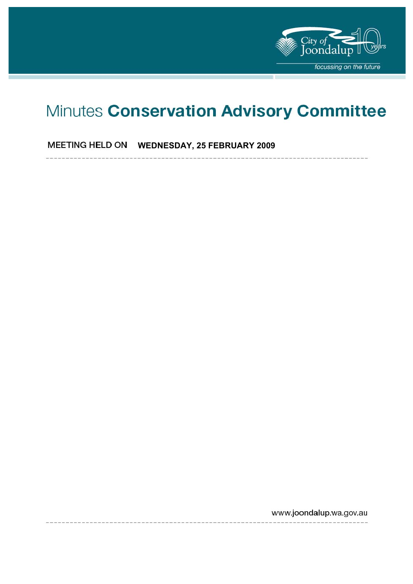

# Minutes Conservation Advisory Committee

**MEETING HELD ON WEDNESDAY, 25 FEBRUARY 2009** 

www.joondalup.wa.gov.au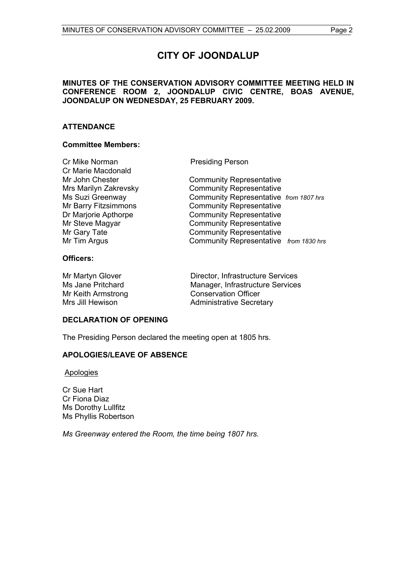# **CITY OF JOONDALUP**

#### **MINUTES OF THE CONSERVATION ADVISORY COMMITTEE MEETING HELD IN CONFERENCE ROOM 2, JOONDALUP CIVIC CENTRE, BOAS AVENUE, JOONDALUP ON WEDNESDAY, 25 FEBRUARY 2009.**

#### **ATTENDANCE**

#### **Committee Members:**

Cr Mike Norman Presiding Person Cr Marie Macdonald

Mr John Chester **Community Representative** Mrs Marilyn Zakrevsky Community Representative Ms Suzi Greenway Community Representative *from 1807 hrs* Mr Barry Fitzsimmons Community Representative Dr Marjorie Apthorpe Community Representative Mr Steve Magyar Community Representative Mr Gary Tate **Community Representative** Mr Tim Argus Community Representative *from 1830 hrs*

#### **Officers:**

Mr Martyn Glover Director, Infrastructure Services Ms Jane Pritchard Manager, Infrastructure Services Mr Keith Armstrong Conservation Officer Mrs Jill Hewison **Administrative Secretary** 

#### **DECLARATION OF OPENING**

The Presiding Person declared the meeting open at 1805 hrs.

#### **APOLOGIES/LEAVE OF ABSENCE**

**Apologies** 

Cr Sue Hart Cr Fiona Diaz Ms Dorothy Lullfitz Ms Phyllis Robertson

*Ms Greenway entered the Room, the time being 1807 hrs.*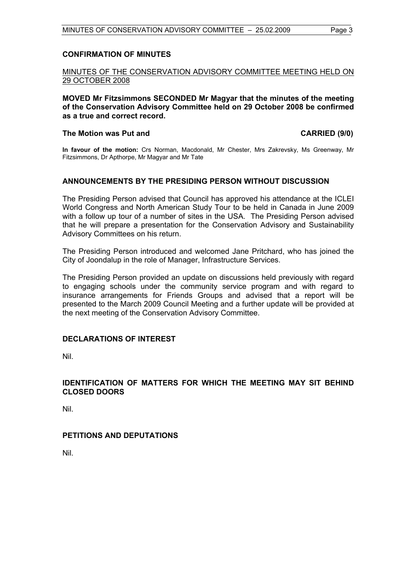#### **CONFIRMATION OF MINUTES**

#### MINUTES OF THE CONSERVATION ADVISORY COMMITTEE MEETING HELD ON 29 OCTOBER 2008

**MOVED Mr Fitzsimmons SECONDED Mr Magyar that the minutes of the meeting of the Conservation Advisory Committee held on 29 October 2008 be confirmed as a true and correct record.** 

#### The Motion was Put and **CARRIED** (9/0)

**In favour of the motion:** Crs Norman, Macdonald, Mr Chester, Mrs Zakrevsky, Ms Greenway, Mr Fitzsimmons, Dr Apthorpe, Mr Magyar and Mr Tate

#### **ANNOUNCEMENTS BY THE PRESIDING PERSON WITHOUT DISCUSSION**

The Presiding Person advised that Council has approved his attendance at the ICLEI World Congress and North American Study Tour to be held in Canada in June 2009 with a follow up tour of a number of sites in the USA. The Presiding Person advised that he will prepare a presentation for the Conservation Advisory and Sustainability Advisory Committees on his return.

The Presiding Person introduced and welcomed Jane Pritchard, who has joined the City of Joondalup in the role of Manager, Infrastructure Services.

The Presiding Person provided an update on discussions held previously with regard to engaging schools under the community service program and with regard to insurance arrangements for Friends Groups and advised that a report will be presented to the March 2009 Council Meeting and a further update will be provided at the next meeting of the Conservation Advisory Committee.

#### **DECLARATIONS OF INTEREST**

Nil.

#### **IDENTIFICATION OF MATTERS FOR WHICH THE MEETING MAY SIT BEHIND CLOSED DOORS**

Nil.

#### **PETITIONS AND DEPUTATIONS**

Nil.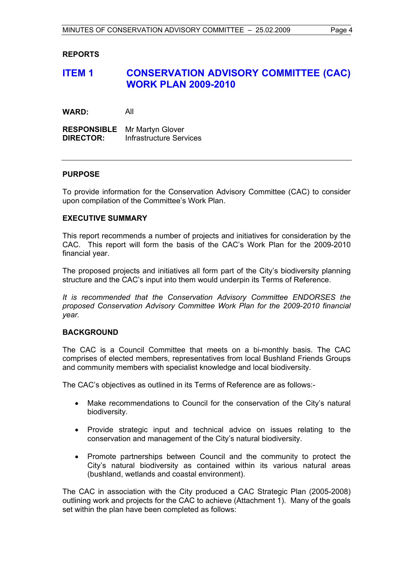#### **REPORTS**

## **ITEM 1 CONSERVATION ADVISORY COMMITTEE (CAC) WORK PLAN 2009-2010**

**WARD:** All

**RESPONSIBLE** Mr Martyn Glover **DIRECTOR:** Infrastructure Services

#### **PURPOSE**

To provide information for the Conservation Advisory Committee (CAC) to consider upon compilation of the Committee's Work Plan.

#### **EXECUTIVE SUMMARY**

This report recommends a number of projects and initiatives for consideration by the CAC. This report will form the basis of the CAC's Work Plan for the 2009-2010 financial year.

The proposed projects and initiatives all form part of the City's biodiversity planning structure and the CAC's input into them would underpin its Terms of Reference.

*It is recommended that the Conservation Advisory Committee ENDORSES the proposed Conservation Advisory Committee Work Plan for the 2009-2010 financial year.* 

#### **BACKGROUND**

The CAC is a Council Committee that meets on a bi-monthly basis. The CAC comprises of elected members, representatives from local Bushland Friends Groups and community members with specialist knowledge and local biodiversity.

The CAC's objectives as outlined in its Terms of Reference are as follows:-

- Make recommendations to Council for the conservation of the City's natural biodiversity.
- Provide strategic input and technical advice on issues relating to the conservation and management of the City's natural biodiversity.
- Promote partnerships between Council and the community to protect the City's natural biodiversity as contained within its various natural areas (bushland, wetlands and coastal environment).

The CAC in association with the City produced a CAC Strategic Plan (2005-2008) outlining work and projects for the CAC to achieve (Attachment 1). Many of the goals set within the plan have been completed as follows: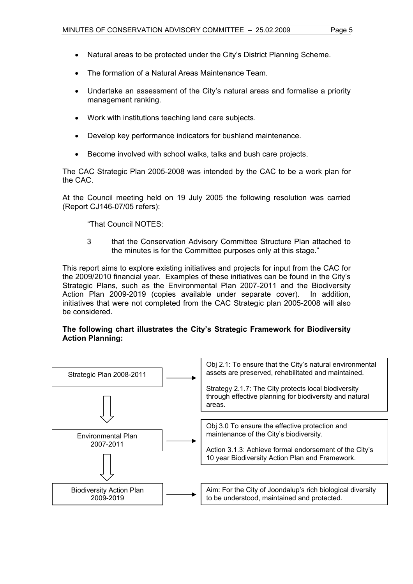- Natural areas to be protected under the City's District Planning Scheme.
- The formation of a Natural Areas Maintenance Team.
- Undertake an assessment of the City's natural areas and formalise a priority management ranking.
- Work with institutions teaching land care subjects.
- Develop key performance indicators for bushland maintenance.
- Become involved with school walks, talks and bush care projects.

The CAC Strategic Plan 2005-2008 was intended by the CAC to be a work plan for the CAC.

At the Council meeting held on 19 July 2005 the following resolution was carried (Report CJ146-07/05 refers):

"That Council NOTES:

3 that the Conservation Advisory Committee Structure Plan attached to the minutes is for the Committee purposes only at this stage."

This report aims to explore existing initiatives and projects for input from the CAC for the 2009/2010 financial year. Examples of these initiatives can be found in the City's Strategic Plans, such as the Environmental Plan 2007-2011 and the Biodiversity Action Plan 2009-2019 (copies available under separate cover). In addition, initiatives that were not completed from the CAC Strategic plan 2005-2008 will also be considered.

#### **The following chart illustrates the City's Strategic Framework for Biodiversity Action Planning:**

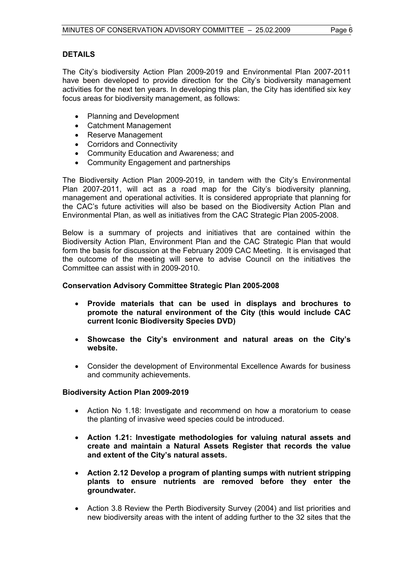#### **DETAILS**

The City's biodiversity Action Plan 2009-2019 and Environmental Plan 2007-2011 have been developed to provide direction for the City's biodiversity management activities for the next ten years. In developing this plan, the City has identified six key focus areas for biodiversity management, as follows:

- Planning and Development
- Catchment Management
- Reserve Management
- Corridors and Connectivity
- Community Education and Awareness; and
- Community Engagement and partnerships

The Biodiversity Action Plan 2009-2019, in tandem with the City's Environmental Plan 2007-2011, will act as a road map for the City's biodiversity planning, management and operational activities. It is considered appropriate that planning for the CAC's future activities will also be based on the Biodiversity Action Plan and Environmental Plan, as well as initiatives from the CAC Strategic Plan 2005-2008.

Below is a summary of projects and initiatives that are contained within the Biodiversity Action Plan, Environment Plan and the CAC Strategic Plan that would form the basis for discussion at the February 2009 CAC Meeting. It is envisaged that the outcome of the meeting will serve to advise Council on the initiatives the Committee can assist with in 2009-2010.

#### **Conservation Advisory Committee Strategic Plan 2005-2008**

- **Provide materials that can be used in displays and brochures to promote the natural environment of the City (this would include CAC current Iconic Biodiversity Species DVD)**
- **Showcase the City's environment and natural areas on the City's website.**
- Consider the development of Environmental Excellence Awards for business and community achievements.

#### **Biodiversity Action Plan 2009-2019**

- Action No 1.18: Investigate and recommend on how a moratorium to cease the planting of invasive weed species could be introduced.
- **Action 1.21: Investigate methodologies for valuing natural assets and create and maintain a Natural Assets Register that records the value and extent of the City's natural assets.**
- **Action 2.12 Develop a program of planting sumps with nutrient stripping plants to ensure nutrients are removed before they enter the groundwater.**
- Action 3.8 Review the Perth Biodiversity Survey (2004) and list priorities and new biodiversity areas with the intent of adding further to the 32 sites that the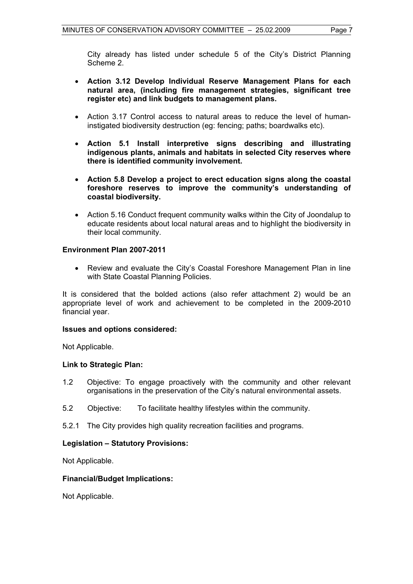City already has listed under schedule 5 of the City's District Planning Scheme 2.

- **Action 3.12 Develop Individual Reserve Management Plans for each natural area, (including fire management strategies, significant tree register etc) and link budgets to management plans.**
- Action 3.17 Control access to natural areas to reduce the level of humaninstigated biodiversity destruction (eg: fencing; paths; boardwalks etc).
- **Action 5.1 Install interpretive signs describing and illustrating indigenous plants, animals and habitats in selected City reserves where there is identified community involvement.**
- **Action 5.8 Develop a project to erect education signs along the coastal foreshore reserves to improve the community's understanding of coastal biodiversity.**
- Action 5.16 Conduct frequent community walks within the City of Joondalup to educate residents about local natural areas and to highlight the biodiversity in their local community.

#### **Environment Plan 2007-2011**

• Review and evaluate the City's Coastal Foreshore Management Plan in line with State Coastal Planning Policies.

It is considered that the bolded actions (also refer attachment 2) would be an appropriate level of work and achievement to be completed in the 2009-2010 financial year.

#### **Issues and options considered:**

Not Applicable.

#### **Link to Strategic Plan:**

- 1.2 Objective: To engage proactively with the community and other relevant organisations in the preservation of the City's natural environmental assets.
- 5.2 Objective: To facilitate healthy lifestyles within the community.
- 5.2.1 The City provides high quality recreation facilities and programs.

#### **Legislation – Statutory Provisions:**

Not Applicable.

#### **Financial/Budget Implications:**

Not Applicable.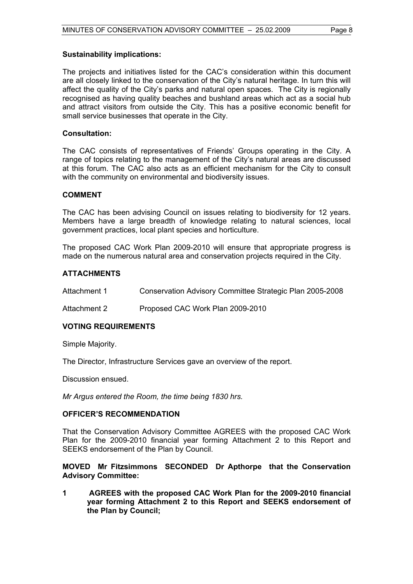#### **Sustainability implications:**

The projects and initiatives listed for the CAC's consideration within this document are all closely linked to the conservation of the City's natural heritage. In turn this will affect the quality of the City's parks and natural open spaces. The City is regionally recognised as having quality beaches and bushland areas which act as a social hub and attract visitors from outside the City. This has a positive economic benefit for small service businesses that operate in the City.

#### **Consultation:**

The CAC consists of representatives of Friends' Groups operating in the City. A range of topics relating to the management of the City's natural areas are discussed at this forum. The CAC also acts as an efficient mechanism for the City to consult with the community on environmental and biodiversity issues.

#### **COMMENT**

The CAC has been advising Council on issues relating to biodiversity for 12 years. Members have a large breadth of knowledge relating to natural sciences, local government practices, local plant species and horticulture.

The proposed CAC Work Plan 2009-2010 will ensure that appropriate progress is made on the numerous natural area and conservation projects required in the City.

#### **ATTACHMENTS**

Attachment 1 Conservation Advisory Committee Strategic Plan 2005-2008

Attachment 2 Proposed CAC Work Plan 2009-2010

#### **VOTING REQUIREMENTS**

Simple Majority.

The Director, Infrastructure Services gave an overview of the report.

Discussion ensued.

*Mr Argus entered the Room, the time being 1830 hrs.* 

#### **OFFICER'S RECOMMENDATION**

That the Conservation Advisory Committee AGREES with the proposed CAC Work Plan for the 2009-2010 financial year forming Attachment 2 to this Report and SEEKS endorsement of the Plan by Council.

#### **MOVED Mr Fitzsimmons SECONDED Dr Apthorpe that the Conservation Advisory Committee:**

**1 AGREES with the proposed CAC Work Plan for the 2009-2010 financial year forming Attachment 2 to this Report and SEEKS endorsement of the Plan by Council;**